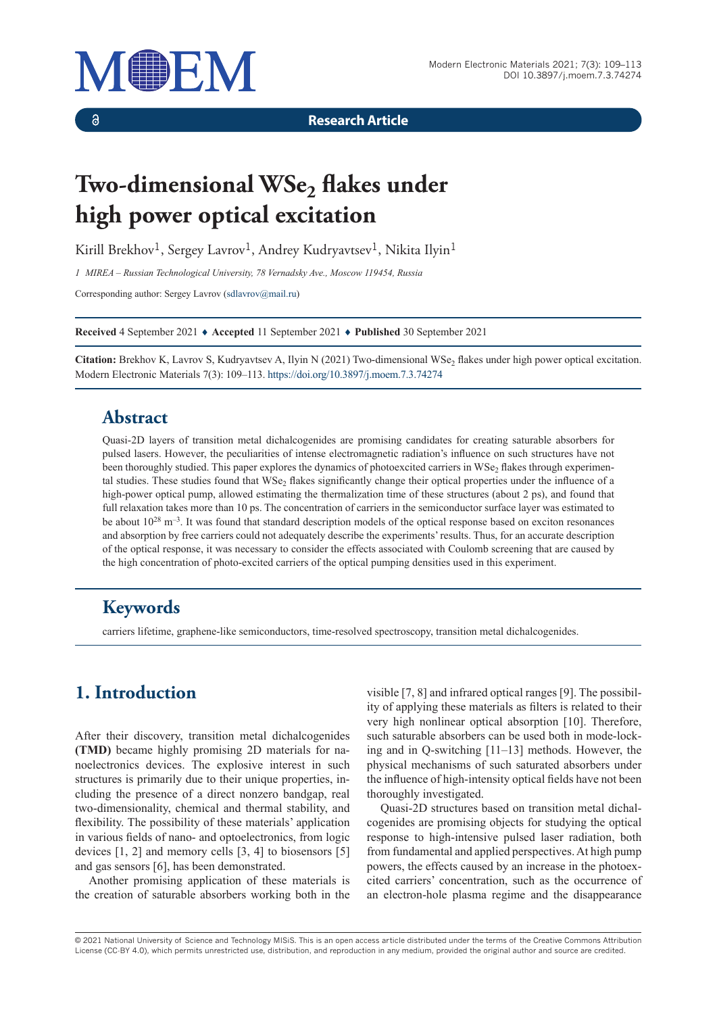

 $\delta$ 

**Research Article**

# **Two-dimensional WSe<sub>2</sub> flakes under high power optical excitation**

Kirill Brekhov<sup>1</sup>, Sergey Lavrov<sup>1</sup>, Andrey Kudryavtsev<sup>1</sup>, Nikita Ilyin<sup>1</sup>

*1 MIREA – Russian Technological University, 78 Vernadsky Ave., Moscow 119454, Russia*

Corresponding author: Sergey Lavrov [\(sdlavrov@mail.ru](mailto:sdlavrov@mail.ru))

**Received** 4 September 2021 ♦ **Accepted** 11 September 2021 ♦ **Published** 30 September 2021

**Citation:** Brekhov K, Lavrov S, Kudryavtsev A, Ilyin N (2021) Two-dimensional WSe<sub>2</sub> flakes under high power optical excitation. Modern Electronic Materials 7(3): 109–113.<https://doi.org/10.3897/j.moem.7.3.74274>

# **Abstract**

Quasi-2D layers of transition metal dichalcogenides are promising candidates for creating saturable absorbers for pulsed lasers. However, the peculiarities of intense electromagnetic radiation's influence on such structures have not been thoroughly studied. This paper explores the dynamics of photoexcited carriers in WSe<sub>2</sub> flakes through experimental studies. These studies found that  $WSe<sub>2</sub>$  flakes significantly change their optical properties under the influence of a high-power optical pump, allowed estimating the thermalization time of these structures (about 2 ps), and found that full relaxation takes more than 10 ps. The concentration of carriers in the semiconductor surface layer was estimated to be about  $10^{28}$  m<sup>-3</sup>. It was found that standard description models of the optical response based on exciton resonances and absorption by free carriers could not adequately describe the experiments' results. Thus, for an accurate description of the optical response, it was necessary to consider the effects associated with Coulomb screening that are caused by the high concentration of photo-excited carriers of the optical pumping densities used in this experiment.

# **Keywords**

carriers lifetime, graphene-like semiconductors, time-resolved spectroscopy, transition metal dichalcogenides.

# **1. Introduction**

After their discovery, transition metal dichalcogenides **(TMD)** became highly promising 2D materials for nanoelectronics devices. The explosive interest in such structures is primarily due to their unique properties, including the presence of a direct nonzero bandgap, real two-dimensionality, chemical and thermal stability, and flexibility. The possibility of these materials' application in various fields of nano- and optoelectronics, from logic devices [1, 2] and memory cells [3, 4] to biosensors [5] and gas sensors [6], has been demonstrated.

Another promising application of these materials is the creation of saturable absorbers working both in the visible [7, 8] and infrared optical ranges [9]. The possibility of applying these materials as filters is related to their very high nonlinear optical absorption [10]. Therefore, such saturable absorbers can be used both in mode-locking and in Q-switching [11–13] methods. However, the physical mechanisms of such saturated absorbers under the influence of high-intensity optical fields have not been thoroughly investigated.

Quasi-2D structures based on transition metal dichalcogenides are promising objects for studying the optical response to high-intensive pulsed laser radiation, both from fundamental and applied perspectives. At high pump powers, the effects caused by an increase in the photoexcited carriers' concentration, such as the occurrence of an electron-hole plasma regime and the disappearance

© 2021 National University of Science and Technology MISiS*.* This is an open access article distributed under the terms of the Creative Commons Attribution License (CC-BY 4.0), which permits unrestricted use, distribution, and reproduction in any medium, provided the original author and source are credited.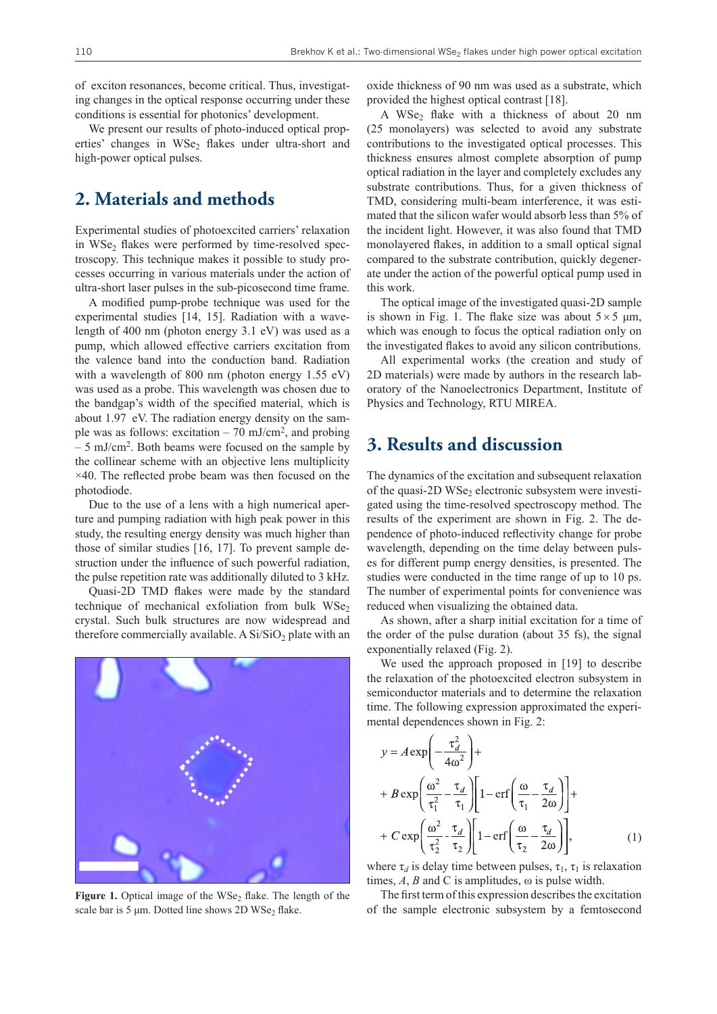of exciton resonances, become critical. Thus, investigating changes in the optical response occurring under these conditions is essential for photonics' development.

We present our results of photo-induced optical properties' changes in  $WSe<sub>2</sub>$  flakes under ultra-short and high-power optical pulses.

#### **2. Materials and methods**

Experimental studies of photoexcited carriers' relaxation in WSe<sub>2</sub> flakes were performed by time-resolved spectroscopy. This technique makes it possible to study processes occurring in various materials under the action of ultra-short laser pulses in the sub-picosecond time frame.

A modified pump-probe technique was used for the experimental studies [14, 15]. Radiation with a wavelength of 400 nm (photon energy 3.1 eV) was used as a pump, which allowed effective carriers excitation from the valence band into the conduction band. Radiation with a wavelength of 800 nm (photon energy 1.55 eV) was used as a probe. This wavelength was chosen due to the bandgap's width of the specified material, which is about 1.97 eV. The radiation energy density on the sample was as follows: excitation  $-70$  mJ/cm<sup>2</sup>, and probing – 5 mJ/cm<sup>2</sup>. Both beams were focused on the sample by the collinear scheme with an objective lens multiplicity  $\times$ 40. The reflected probe beam was then focused on the photodiode.

Due to the use of a lens with a high numerical aperture and pumping radiation with high peak power in this study, the resulting energy density was much higher than those of similar studies [16, 17]. To prevent sample destruction under the influence of such powerful radiation, the pulse repetition rate was additionally diluted to 3 kHz.

Quasi-2D TMD flakes were made by the standard technique of mechanical exfoliation from bulk  $WSe<sub>2</sub>$ crystal. Such bulk structures are now widespread and therefore commercially available. A  $Si/SiO<sub>2</sub>$  plate with an



Figure 1. Optical image of the WSe<sub>2</sub> flake. The length of the scale bar is 5 μm. Dotted line shows 2D WSe<sub>2</sub> flake.

oxide thickness of 90 nm was used as a substrate, which provided the highest optical contrast [18].

A WSe<sub>2</sub> flake with a thickness of about 20 nm (25 monolayers) was selected to avoid any substrate contributions to the investigated optical processes. This thickness ensures almost complete absorption of pump optical radiation in the layer and completely excludes any substrate contributions. Thus, for a given thickness of TMD, considering multi-beam interference, it was estimated that the silicon wafer would absorb less than 5% of the incident light. However, it was also found that TMD monolayered flakes, in addition to a small optical signal compared to the substrate contribution, quickly degenerate under the action of the powerful optical pump used in this work.

The optical image of the investigated quasi-2D sample is shown in Fig. 1. The flake size was about  $5 \times 5$  µm, which was enough to focus the optical radiation only on the investigated flakes to avoid any silicon contributions.

All experimental works (the creation and study of 2D materials) were made by authors in the research laboratory of the Nanoelectronics Department, Institute of Physics and Technology, RTU MIREA.

### **3. Results and discussion**

The dynamics of the excitation and subsequent relaxation of the quasi-2D WSe<sub>2</sub> electronic subsystem were investigated using the time-resolved spectroscopy method. The results of the experiment are shown in Fig. 2. The dependence of photo-induced reflectivity change for probe wavelength, depending on the time delay between pulses for different pump energy densities, is presented. The studies were conducted in the time range of up to 10 ps. The number of experimental points for convenience was reduced when visualizing the obtained data.

As shown, after a sharp initial excitation for a time of the order of the pulse duration (about 35 fs), the signal exponentially relaxed (Fig. 2).

We used the approach proposed in [19] to describe the relaxation of the photoexcited electron subsystem in semiconductor materials and to determine the relaxation time. The following expression approximated the experimental dependences shown in Fig. 2:

$$
y = A \exp\left(-\frac{\tau_d^2}{4\omega^2}\right) +
$$
  
+ 
$$
B \exp\left(\frac{\omega^2}{\tau_1^2} - \frac{\tau_d}{\tau_1}\right) \left[1 - \text{erf}\left(\frac{\omega}{\tau_1} - \frac{\tau_d}{2\omega}\right)\right] +
$$
  
+ 
$$
C \exp\left(\frac{\omega^2}{\tau_2^2} - \frac{\tau_d}{\tau_2}\right) \left[1 - \text{erf}\left(\frac{\omega}{\tau_2} - \frac{\tau_d}{2\omega}\right)\right],
$$
 (1)

where  $\tau_d$  is delay time between pulses,  $\tau_1$ ,  $\tau_1$  is relaxation times,  $A$ ,  $B$  and  $C$  is amplitudes,  $\omega$  is pulse width.

The first term of this expression describes the excitation of the sample electronic subsystem by a femtosecond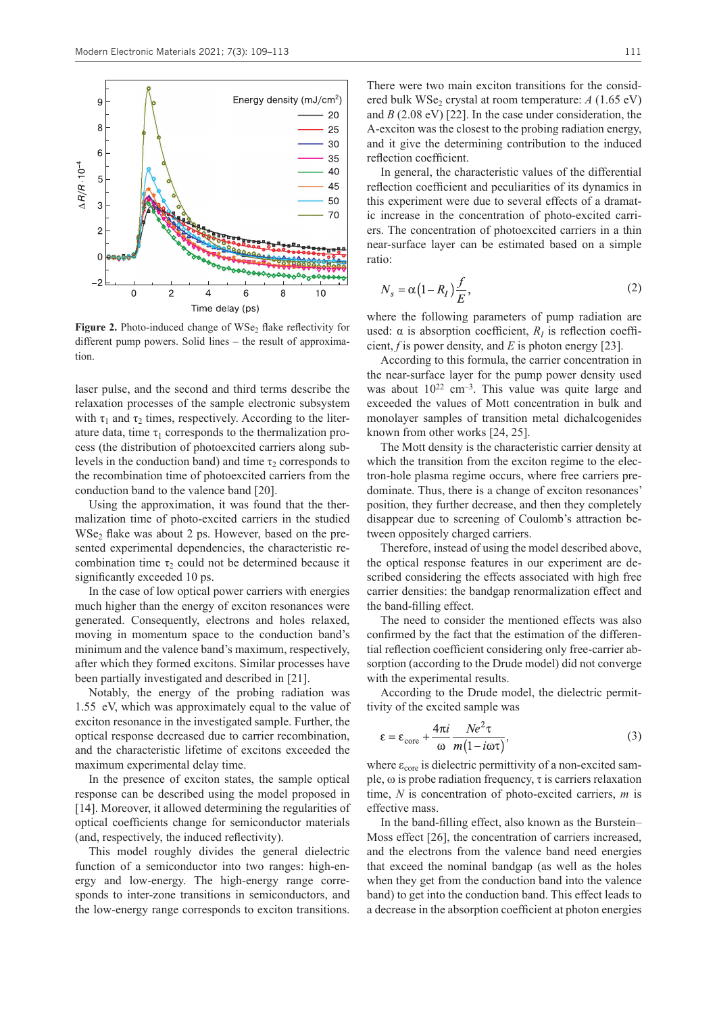

Figure 2. Photo-induced change of WSe<sub>2</sub> flake reflectivity for different pump powers. Solid lines – the result of approximation.

laser pulse, and the second and third terms describe the relaxation processes of the sample electronic subsystem with  $\tau_1$  and  $\tau_2$  times, respectively. According to the literature data, time  $\tau_1$  corresponds to the thermalization process (the distribution of photoexcited carriers along sublevels in the conduction band) and time  $\tau_2$  corresponds to the recombination time of photoexcited carriers from the conduction band to the valence band [20].

Using the approximation, it was found that the thermalization time of photo-excited carriers in the studied  $WSe<sub>2</sub>$  flake was about 2 ps. However, based on the presented experimental dependencies, the characteristic recombination time  $\tau_2$  could not be determined because it significantly exceeded 10 ps.

In the case of low optical power carriers with energies much higher than the energy of exciton resonances were generated. Consequently, electrons and holes relaxed, moving in momentum space to the conduction band's minimum and the valence band's maximum, respectively, after which they formed excitons. Similar processes have been partially investigated and described in [21].

Notably, the energy of the probing radiation was 1.55 eV, which was approximately equal to the value of exciton resonance in the investigated sample. Further, the optical response decreased due to carrier recombination, and the characteristic lifetime of excitons exceeded the maximum experimental delay time.

In the presence of exciton states, the sample optical response can be described using the model proposed in [14]. Moreover, it allowed determining the regularities of optical coefficients change for semiconductor materials (and, respectively, the induced reflectivity).

This model roughly divides the general dielectric function of a semiconductor into two ranges: high-energy and low-energy. The high-energy range corresponds to inter-zone transitions in semiconductors, and the low-energy range corresponds to exciton transitions.

In general, the characteristic values of the differential reflection coefficient and peculiarities of its dynamics in this experiment were due to several effects of a dramatic increase in the concentration of photo-excited carriers. The concentration of photoexcited carriers in a thin near-surface layer can be estimated based on a simple ratio:

$$
N_s = \alpha \left(1 - R_I\right) \frac{f}{E},\tag{2}
$$

where the following parameters of pump radiation are used:  $\alpha$  is absorption coefficient,  $R_I$  is reflection coefficient, *f* is power density, and *E* is photon energy [23].

According to this formula, the carrier concentration in the near-surface layer for the pump power density used was about  $10^{22}$  cm<sup>-3</sup>. This value was quite large and exceeded the values of Mott concentration in bulk and monolayer samples of transition metal dichalcogenides known from other works [24, 25].

The Mott density is the characteristic carrier density at which the transition from the exciton regime to the electron-hole plasma regime occurs, where free carriers predominate. Thus, there is a change of exciton resonances' position, they further decrease, and then they completely disappear due to screening of Coulomb's attraction between oppositely charged carriers.

Therefore, instead of using the model described above, the optical response features in our experiment are described considering the effects associated with high free carrier densities: the bandgap renormalization effect and the band-filling effect.

The need to consider the mentioned effects was also confirmed by the fact that the estimation of the differential reflection coefficient considering only free-carrier absorption (according to the Drude model) did not converge with the experimental results.

According to the Drude model, the dielectric permittivity of the excited sample was

$$
\varepsilon = \varepsilon_{\text{core}} + \frac{4\pi i}{\omega} \frac{Ne^2 \tau}{m(1 - i\omega\tau)},
$$
\n(3)

where  $\varepsilon_{\text{core}}$  is dielectric permittivity of a non-excited sample,  $\omega$  is probe radiation frequency,  $\tau$  is carriers relaxation time, *N* is concentration of photo-excited carriers, *m* is effective mass.

In the band-filling effect, also known as the Burstein– Moss effect [26], the concentration of carriers increased, and the electrons from the valence band need energies that exceed the nominal bandgap (as well as the holes when they get from the conduction band into the valence band) to get into the conduction band. This effect leads to a decrease in the absorption coefficient at photon energies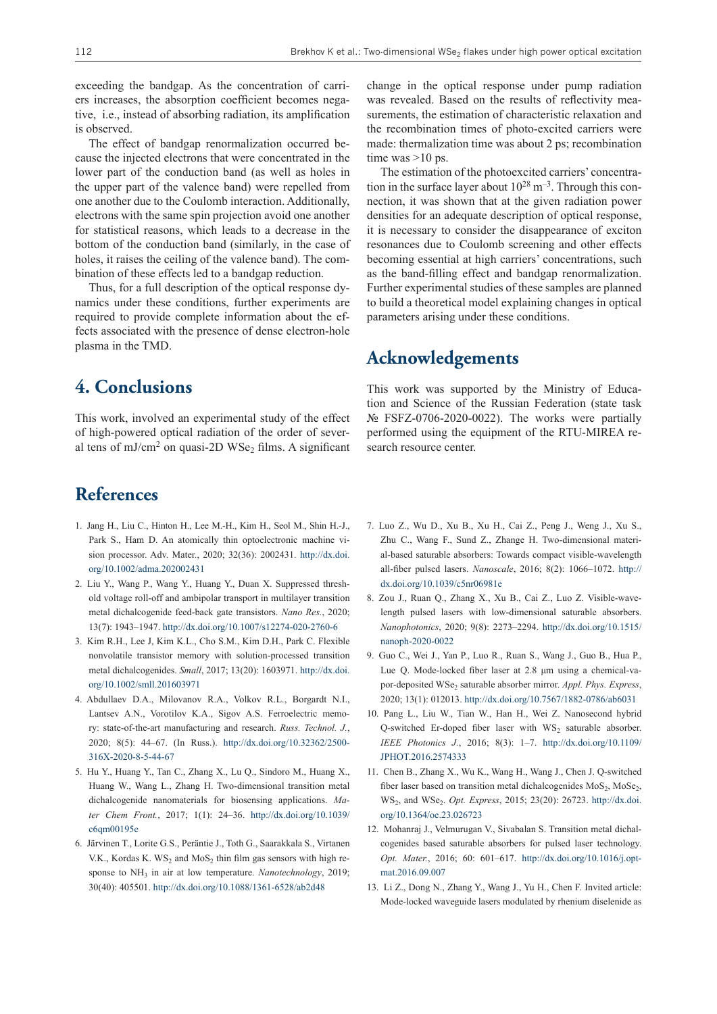exceeding the bandgap. As the concentration of carriers increases, the absorption coefficient becomes negative, i.e., instead of absorbing radiation, its amplification is observed.

The effect of bandgap renormalization occurred because the injected electrons that were concentrated in the lower part of the conduction band (as well as holes in the upper part of the valence band) were repelled from one another due to the Coulomb interaction. Additionally, electrons with the same spin projection avoid one another for statistical reasons, which leads to a decrease in the bottom of the conduction band (similarly, in the case of holes, it raises the ceiling of the valence band). The combination of these effects led to a bandgap reduction.

Thus, for a full description of the optical response dynamics under these conditions, further experiments are required to provide complete information about the effects associated with the presence of dense electron-hole plasma in the TMD.

# **4. Conclusions**

This work, involved an experimental study of the effect of high-powered optical radiation of the order of several tens of mJ/cm<sup>2</sup> on quasi-2D WSe<sub>2</sub> films. A significant

#### **References**

- 1. Jang H., Liu C., Hinton H., Lee M.-H., Kim H., Seol M., Shin H.-J., Park S., Ham D. An atomically thin optoelectronic machine vision processor. Adv. Mater., 2020; 32(36): 2002431. [http://dx.doi.](http://dx.doi.org/10.1002/adma.202002431) [org/10.1002/adma.202002431](http://dx.doi.org/10.1002/adma.202002431)
- 2. Liu Y., Wang P., Wang Y., Huang Y., Duan X. Suppressed threshold voltage roll-off and ambipolar transport in multilayer transition metal dichalcogenide feed-back gate transistors. *Nano Res.*, 2020; 13(7): 1943–1947.<http://dx.doi.org/10.1007/s12274-020-2760-6>
- 3. Kim R.H., Lee J, Kim K.L., Cho S.M., Kim D.H., Park C. Flexible nonvolatile transistor memory with solution-processed transition metal dichalcogenides. *Small*, 2017; 13(20): 1603971. [http://dx.doi.](http://dx.doi.org/10.1002/smll.201603971) [org/10.1002/smll.201603971](http://dx.doi.org/10.1002/smll.201603971)
- 4. Abdullaev D.A., Milovanov R.A., Volkov R.L., Borgardt N.I., Lantsev A.N., Vorotilov K.A., Sigov A.S. Ferroelectric memory: state-of-the-art manufacturing and research. *Russ. Technol. J.*, 2020; 8(5): 44–67. (In Russ.). [http://dx.doi.org/10.32362/2500-](http://dx.doi.org/10.32362/2500-316X-2020-8-5-44-67) [316X-2020-8-5-44-67](http://dx.doi.org/10.32362/2500-316X-2020-8-5-44-67)
- 5. Hu Y., Huang Y., Tan C., Zhang X., Lu Q., Sindoro M., Huang X., Huang W., Wang L., Zhang H. Two-dimensional transition metal dichalcogenide nanomaterials for biosensing applications. *Mater Chem Front.*, 2017; 1(1): 24–36. [http://dx.doi.org/10.1039/](http://dx.doi.org/10.1039/c6qm00195e) [c6qm00195e](http://dx.doi.org/10.1039/c6qm00195e)
- 6. Järvinen T., Lorite G.S., Peräntie J., Toth G., Saarakkala S., Virtanen V.K., Kordas K.  $WS_2$  and  $MoS_2$  thin film gas sensors with high response to NH<sub>3</sub> in air at low temperature. *Nanotechnology*, 2019; 30(40): 405501.<http://dx.doi.org/10.1088/1361-6528/ab2d48>

change in the optical response under pump radiation was revealed. Based on the results of reflectivity measurements, the estimation of characteristic relaxation and the recombination times of photo-excited carriers were made: thermalization time was about 2 ps; recombination time was  $>10$  ps.

The estimation of the photoexcited carriers' concentration in the surface layer about  $10^{28}$  m<sup>-3</sup>. Through this connection, it was shown that at the given radiation power densities for an adequate description of optical response, it is necessary to consider the disappearance of exciton resonances due to Coulomb screening and other effects becoming essential at high carriers' concentrations, such as the band-filling effect and bandgap renormalization. Further experimental studies of these samples are planned to build a theoretical model explaining changes in optical parameters arising under these conditions.

#### **Acknowledgements**

This work was supported by the Ministry of Education and Science of the Russian Federation (state task  $N<sub>•</sub>$  FSFZ-0706-2020-0022). The works were partially performed using the equipment of the RTU-MIREA research resource center.

- 7. Luo Z., Wu D., Xu B., Xu H., Cai Z., Peng J., Weng J., Xu S., Zhu C., Wang F., Sund Z., Zhange H. Two-dimensional material-based saturable absorbers: Towards compact visible-wavelength all-fiber pulsed lasers. *Nanoscale*, 2016; 8(2): 1066–1072. [http://](http://dx.doi.org/10.1039/c5nr06981e) [dx.doi.org/10.1039/c5nr06981e](http://dx.doi.org/10.1039/c5nr06981e)
- 8. Zou J., Ruan Q., Zhang X., Xu B., Cai Z., Luo Z. Visible-wavelength pulsed lasers with low-dimensional saturable absorbers. *Nanophotonics*, 2020; 9(8): 2273–2294. [http://dx.doi.org/10.1515/](http://dx.doi.org/10.1515/nanoph-2020-0022) [nanoph-2020-0022](http://dx.doi.org/10.1515/nanoph-2020-0022)
- 9. Guo C., Wei J., Yan P., Luo R., Ruan S., Wang J., Guo B., Hua P., Lue Q. Mode-locked fiber laser at 2.8 μm using a chemical-vapor-deposited WSe<sub>2</sub> saturable absorber mirror. *Appl. Phys. Express*, 2020; 13(1): 012013. <http://dx.doi.org/10.7567/1882-0786/ab6031>
- 10. Pang L., Liu W., Tian W., Han H., Wei Z. Nanosecond hybrid Q-switched Er-doped fiber laser with  $WS_2$  saturable absorber. *IEEE Photonics J.*, 2016; 8(3): 1–7. [http://dx.doi.org/10.1109/](http://dx.doi.org/10.1109/JPHOT.2016.2574333) [JPHOT.2016.2574333](http://dx.doi.org/10.1109/JPHOT.2016.2574333)
- 11. Chen B., Zhang X., Wu K., Wang H., Wang J., Chen J. Q-switched fiber laser based on transition metal dichalcogenides MoS<sub>2</sub>, MoSe<sub>2</sub>, WS2, and WSe2. *Opt. Express*, 2015; 23(20): 26723. [http://dx.doi.](http://dx.doi.org/10.1364/oe.23.026723) [org/10.1364/oe.23.026723](http://dx.doi.org/10.1364/oe.23.026723)
- 12. Mohanraj J., Velmurugan V., Sivabalan S. Transition metal dichalcogenides based saturable absorbers for pulsed laser technology. *Opt. Mater.*, 2016; 60: 601–617. [http://dx.doi.org/10.1016/j.opt](http://dx.doi.org/10.1016/j.optmat.2016.09.007)[mat.2016.09.007](http://dx.doi.org/10.1016/j.optmat.2016.09.007)
- 13. Li Z., Dong N., Zhang Y., Wang J., Yu H., Chen F. Invited article: Mode-locked waveguide lasers modulated by rhenium diselenide as